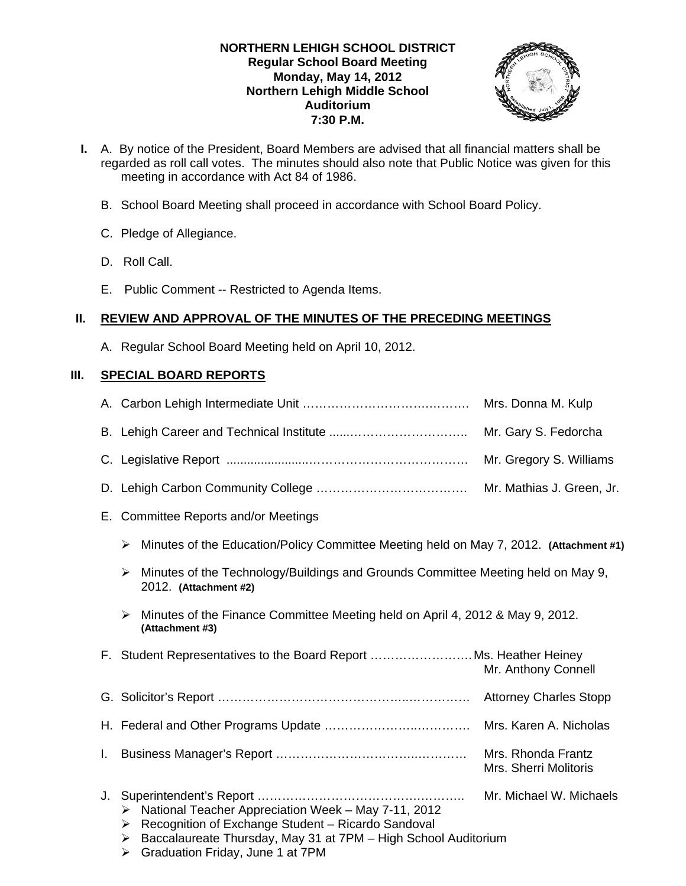# **NORTHERN LEHIGH SCHOOL DISTRICT Regular School Board Meeting Monday, May 14, 2012 Northern Lehigh Middle School Auditorium 7:30 P.M.**



- **I.** A. By notice of the President, Board Members are advised that all financial matters shall be regarded as roll call votes. The minutes should also note that Public Notice was given for this meeting in accordance with Act 84 of 1986.
	- B. School Board Meeting shall proceed in accordance with School Board Policy.
	- C. Pledge of Allegiance.
	- D. Roll Call.
	- E. Public Comment -- Restricted to Agenda Items.

# **II. REVIEW AND APPROVAL OF THE MINUTES OF THE PRECEDING MEETINGS**

A. Regular School Board Meeting held on April 10, 2012.

# **III. SPECIAL BOARD REPORTS**

|    |                                                                                                                                                                                                                                     | Mrs. Donna M. Kulp                          |
|----|-------------------------------------------------------------------------------------------------------------------------------------------------------------------------------------------------------------------------------------|---------------------------------------------|
|    |                                                                                                                                                                                                                                     | Mr. Gary S. Fedorcha                        |
|    |                                                                                                                                                                                                                                     | Mr. Gregory S. Williams                     |
|    |                                                                                                                                                                                                                                     | Mr. Mathias J. Green, Jr.                   |
|    | E. Committee Reports and/or Meetings                                                                                                                                                                                                |                                             |
|    | Minutes of the Education/Policy Committee Meeting held on May 7, 2012. (Attachment #1)<br>➤                                                                                                                                         |                                             |
|    | > Minutes of the Technology/Buildings and Grounds Committee Meeting held on May 9,<br>2012. (Attachment #2)                                                                                                                         |                                             |
|    | Minutes of the Finance Committee Meeting held on April 4, 2012 & May 9, 2012.<br>$\blacktriangleright$<br>(Attachment #3)                                                                                                           |                                             |
|    | F. Student Representatives to the Board Report Ms. Heather Heiney                                                                                                                                                                   | Mr. Anthony Connell                         |
|    |                                                                                                                                                                                                                                     |                                             |
|    |                                                                                                                                                                                                                                     |                                             |
| Ι. |                                                                                                                                                                                                                                     | Mrs. Rhonda Frantz<br>Mrs. Sherri Molitoris |
| J. | National Teacher Appreciation Week - May 7-11, 2012<br>➤<br>Recognition of Exchange Student - Ricardo Sandoval<br>➤<br>Baccalaureate Thursday, May 31 at 7PM - High School Auditorium<br>➤<br>Graduation Friday, June 1 at 7PM<br>➤ | Mr. Michael W. Michaels                     |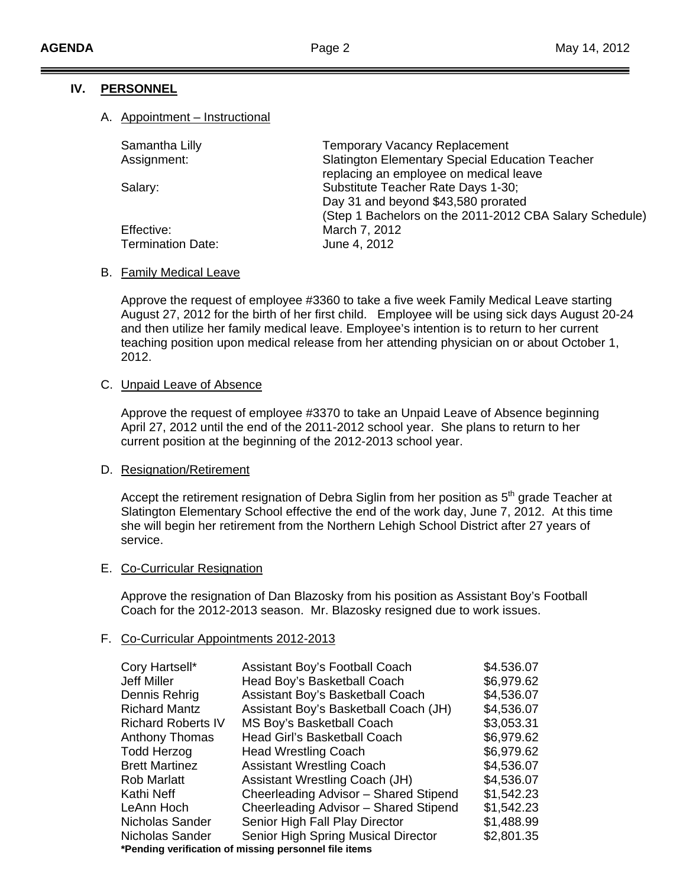# **IV. PERSONNEL**

### A. Appointment – Instructional

| Samantha Lilly           | <b>Temporary Vacancy Replacement</b>                    |
|--------------------------|---------------------------------------------------------|
| Assignment:              | <b>Slatington Elementary Special Education Teacher</b>  |
|                          | replacing an employee on medical leave                  |
| Salary:                  | Substitute Teacher Rate Days 1-30;                      |
|                          | Day 31 and beyond \$43,580 prorated                     |
|                          | (Step 1 Bachelors on the 2011-2012 CBA Salary Schedule) |
| Effective:               | March 7, 2012                                           |
| <b>Termination Date:</b> | June 4, 2012                                            |
|                          |                                                         |

#### B. Family Medical Leave

Approve the request of employee #3360 to take a five week Family Medical Leave starting August 27, 2012 for the birth of her first child. Employee will be using sick days August 20-24 and then utilize her family medical leave. Employee's intention is to return to her current teaching position upon medical release from her attending physician on or about October 1, 2012.

#### C. Unpaid Leave of Absence

Approve the request of employee #3370 to take an Unpaid Leave of Absence beginning April 27, 2012 until the end of the 2011-2012 school year. She plans to return to her current position at the beginning of the 2012-2013 school year.

#### D. Resignation/Retirement

Accept the retirement resignation of Debra Siglin from her position as  $5<sup>th</sup>$  grade Teacher at Slatington Elementary School effective the end of the work day, June 7, 2012. At this time she will begin her retirement from the Northern Lehigh School District after 27 years of service.

#### E. Co-Curricular Resignation

Approve the resignation of Dan Blazosky from his position as Assistant Boy's Football Coach for the 2012-2013 season. Mr. Blazosky resigned due to work issues.

#### F. Co-Curricular Appointments 2012-2013

| Cory Hartsell*            | Assistant Boy's Football Coach                        | \$4.536.07 |
|---------------------------|-------------------------------------------------------|------------|
| Jeff Miller               | Head Boy's Basketball Coach                           | \$6,979.62 |
| Dennis Rehrig             | Assistant Boy's Basketball Coach                      | \$4,536.07 |
| <b>Richard Mantz</b>      | Assistant Boy's Basketball Coach (JH)                 | \$4,536.07 |
| <b>Richard Roberts IV</b> | MS Boy's Basketball Coach                             | \$3,053.31 |
| <b>Anthony Thomas</b>     | Head Girl's Basketball Coach                          | \$6,979.62 |
| <b>Todd Herzog</b>        | <b>Head Wrestling Coach</b>                           | \$6,979.62 |
| <b>Brett Martinez</b>     | <b>Assistant Wrestling Coach</b>                      | \$4,536.07 |
| <b>Rob Marlatt</b>        | <b>Assistant Wrestling Coach (JH)</b>                 | \$4,536.07 |
| Kathi Neff                | Cheerleading Advisor - Shared Stipend                 | \$1,542.23 |
| LeAnn Hoch                | Cheerleading Advisor - Shared Stipend                 | \$1,542.23 |
| Nicholas Sander           | Senior High Fall Play Director                        | \$1,488.99 |
| Nicholas Sander           | Senior High Spring Musical Director                   | \$2,801.35 |
|                           | *Pending verification of missing personnel file items |            |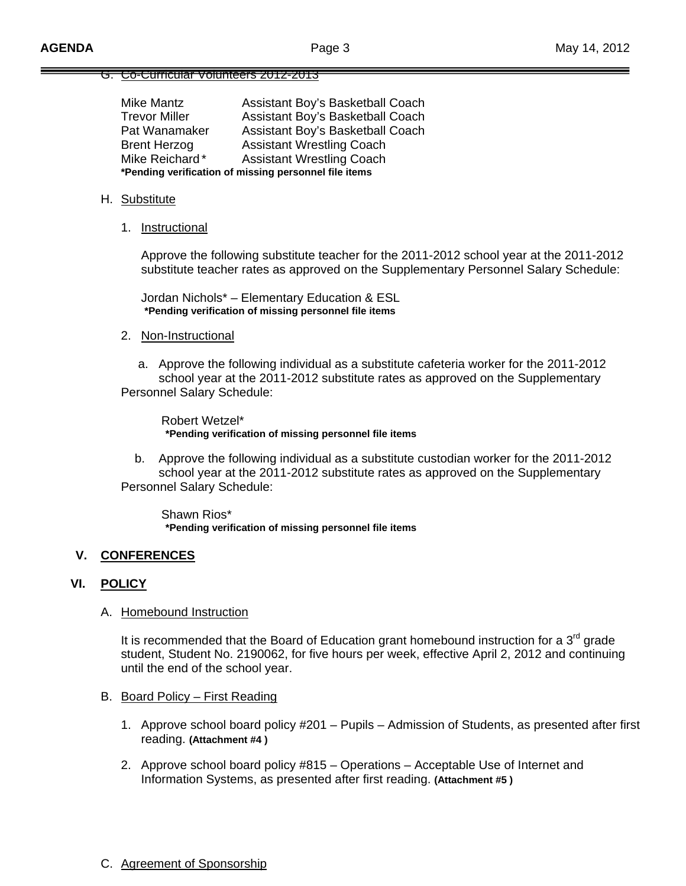### G. Co-Curricular Volunteers 2012-2013

| Assistant Boy's Basketball Coach                      |  |  |  |  |  |
|-------------------------------------------------------|--|--|--|--|--|
| Assistant Boy's Basketball Coach                      |  |  |  |  |  |
| Assistant Boy's Basketball Coach                      |  |  |  |  |  |
| <b>Assistant Wrestling Coach</b>                      |  |  |  |  |  |
| <b>Assistant Wrestling Coach</b>                      |  |  |  |  |  |
| *Pending verification of missing personnel file items |  |  |  |  |  |
|                                                       |  |  |  |  |  |

#### H. Substitute

1. Instructional

 Approve the following substitute teacher for the 2011-2012 school year at the 2011-2012 substitute teacher rates as approved on the Supplementary Personnel Salary Schedule:

 Jordan Nichols\* – Elementary Education & ESL **\*Pending verification of missing personnel file items** 

#### 2. Non-Instructional

 a. Approve the following individual as a substitute cafeteria worker for the 2011-2012 school year at the 2011-2012 substitute rates as approved on the Supplementary Personnel Salary Schedule:

 Robert Wetzel\* **\*Pending verification of missing personnel file items** 

 b. Approve the following individual as a substitute custodian worker for the 2011-2012 school year at the 2011-2012 substitute rates as approved on the Supplementary Personnel Salary Schedule:

 Shawn Rios\* **\*Pending verification of missing personnel file items** 

#### **V. CONFERENCES**

#### **VI. POLICY**

#### A. Homebound Instruction

It is recommended that the Board of Education grant homebound instruction for a  $3<sup>rd</sup>$  grade student, Student No. 2190062, for five hours per week, effective April 2, 2012 and continuing until the end of the school year.

- B. Board Policy First Reading
	- 1. Approve school board policy #201 Pupils Admission of Students, as presented after first reading. **(Attachment #4 )**
	- 2. Approve school board policy #815 Operations Acceptable Use of Internet and Information Systems, as presented after first reading. **(Attachment #5 )**
- C. Agreement of Sponsorship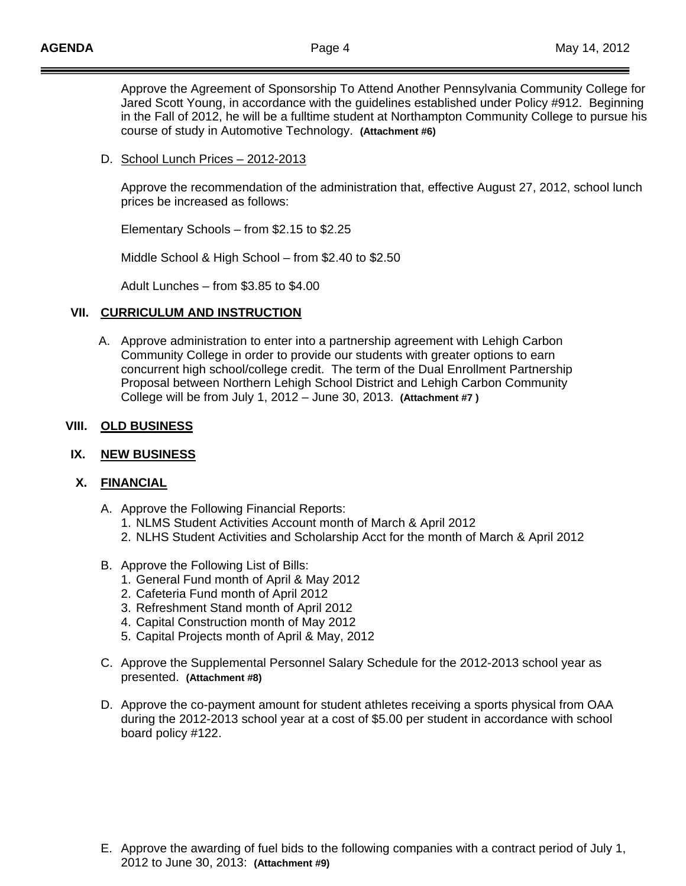Approve the Agreement of Sponsorship To Attend Another Pennsylvania Community College for Jared Scott Young, in accordance with the guidelines established under Policy #912. Beginning in the Fall of 2012, he will be a fulltime student at Northampton Community College to pursue his course of study in Automotive Technology. **(Attachment #6)**

# D. School Lunch Prices – 2012-2013

 Approve the recommendation of the administration that, effective August 27, 2012, school lunch prices be increased as follows:

Elementary Schools – from \$2.15 to \$2.25

Middle School & High School – from \$2.40 to \$2.50

Adult Lunches – from \$3.85 to \$4.00

#### **VII. CURRICULUM AND INSTRUCTION**

 A. Approve administration to enter into a partnership agreement with Lehigh Carbon Community College in order to provide our students with greater options to earn concurrent high school/college credit. The term of the Dual Enrollment Partnership Proposal between Northern Lehigh School District and Lehigh Carbon Community College will be from July 1, 2012 – June 30, 2013. **(Attachment #7 )**

#### **VIII. OLD BUSINESS**

#### **IX. NEW BUSINESS**

### **X. FINANCIAL**

- A. Approve the Following Financial Reports:
	- 1. NLMS Student Activities Account month of March & April 2012
	- 2. NLHS Student Activities and Scholarship Acct for the month of March & April 2012
- B. Approve the Following List of Bills:
	- 1. General Fund month of April & May 2012
	- 2. Cafeteria Fund month of April 2012
	- 3. Refreshment Stand month of April 2012
	- 4. Capital Construction month of May 2012
	- 5. Capital Projects month of April & May, 2012
- C. Approve the Supplemental Personnel Salary Schedule for the 2012-2013 school year as presented. **(Attachment #8)**
- D. Approve the co-payment amount for student athletes receiving a sports physical from OAA during the 2012-2013 school year at a cost of \$5.00 per student in accordance with school board policy #122.

E. Approve the awarding of fuel bids to the following companies with a contract period of July 1, 2012 to June 30, 2013: **(Attachment #9)**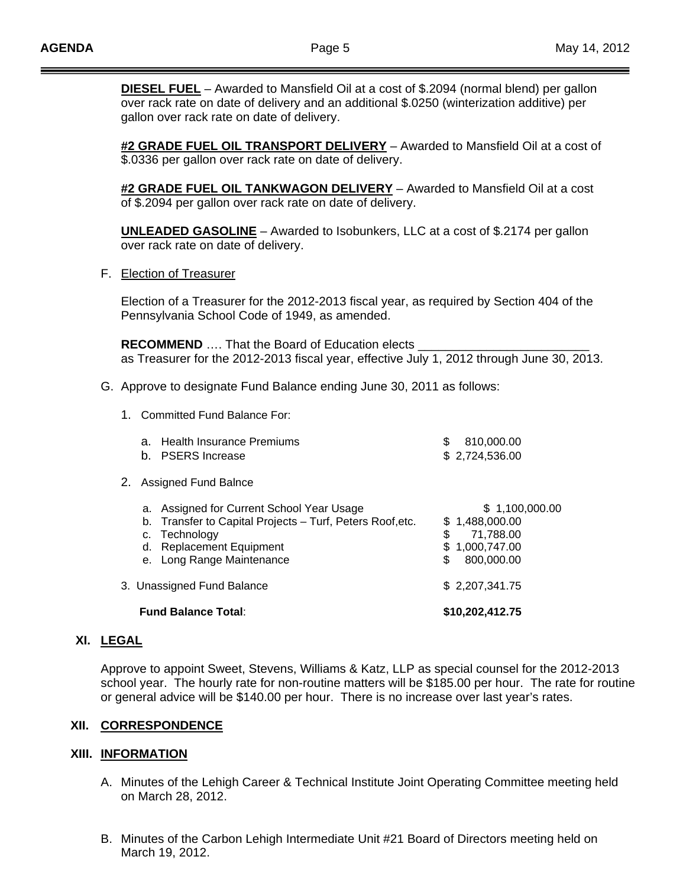**DIESEL FUEL** – Awarded to Mansfield Oil at a cost of \$.2094 (normal blend) per gallon over rack rate on date of delivery and an additional \$.0250 (winterization additive) per gallon over rack rate on date of delivery.

**#2 GRADE FUEL OIL TRANSPORT DELIVERY** – Awarded to Mansfield Oil at a cost of \$.0336 per gallon over rack rate on date of delivery.

**#2 GRADE FUEL OIL TANKWAGON DELIVERY** – Awarded to Mansfield Oil at a cost of \$.2094 per gallon over rack rate on date of delivery.

**UNLEADED GASOLINE** – Awarded to Isobunkers, LLC at a cost of \$.2174 per gallon over rack rate on date of delivery.

F. Election of Treasurer

 Election of a Treasurer for the 2012-2013 fiscal year, as required by Section 404 of the Pennsylvania School Code of 1949, as amended.

**RECOMMEND** .... That the Board of Education elects as Treasurer for the 2012-2013 fiscal year, effective July 1, 2012 through June 30, 2013.

- G. Approve to designate Fund Balance ending June 30, 2011 as follows:
	- 1. Committed Fund Balance For:

| <b>Replacement Equipment</b><br>Long Range Maintenance<br>3. Unassigned Fund Balance                              | \$ | 800,000.00<br>\$2,207,341.75                                    |
|-------------------------------------------------------------------------------------------------------------------|----|-----------------------------------------------------------------|
|                                                                                                                   |    |                                                                 |
| Assigned for Current School Year Usage<br>b. Transfer to Capital Projects - Turf, Peters Roof, etc.<br>Technology | \$ | \$1,100,000.00<br>\$1,488,000.00<br>71,788.00<br>\$1,000,747.00 |
| Assigned Fund Balnce                                                                                              |    |                                                                 |
| Health Insurance Premiums<br><b>PSERS</b> Increase                                                                | S  | 810,000.00<br>\$2,724,536.00                                    |
|                                                                                                                   |    |                                                                 |

#### **XI. LEGAL**

Approve to appoint Sweet, Stevens, Williams & Katz, LLP as special counsel for the 2012-2013 school year. The hourly rate for non-routine matters will be \$185.00 per hour. The rate for routine or general advice will be \$140.00 per hour. There is no increase over last year's rates.

#### **XII. CORRESPONDENCE**

#### **XIII. INFORMATION**

- A. Minutes of the Lehigh Career & Technical Institute Joint Operating Committee meeting held on March 28, 2012.
- B. Minutes of the Carbon Lehigh Intermediate Unit #21 Board of Directors meeting held on March 19, 2012.